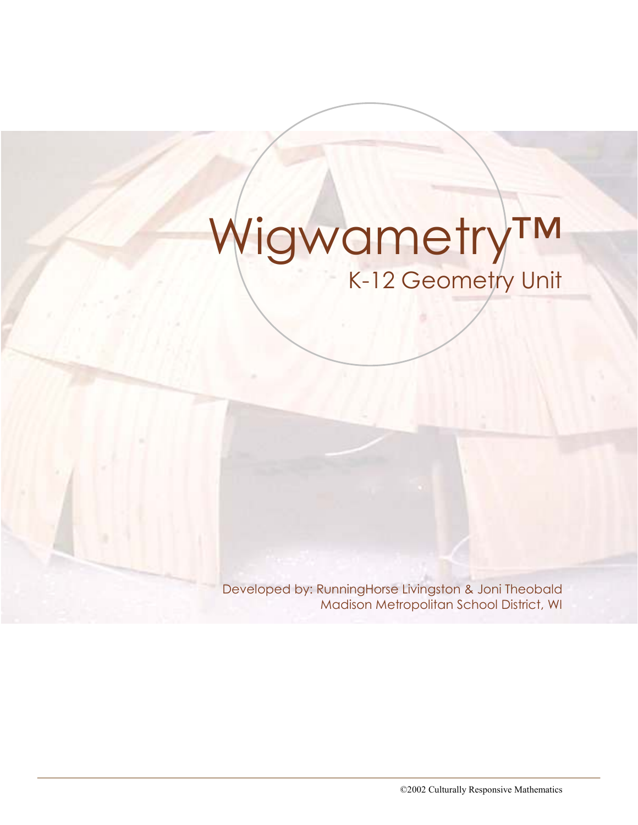# Wigwametry™ K-12 Geometry Unit

Developed by: RunningHorse Livingston & Joni Theobald Madison Metropolitan School District, WI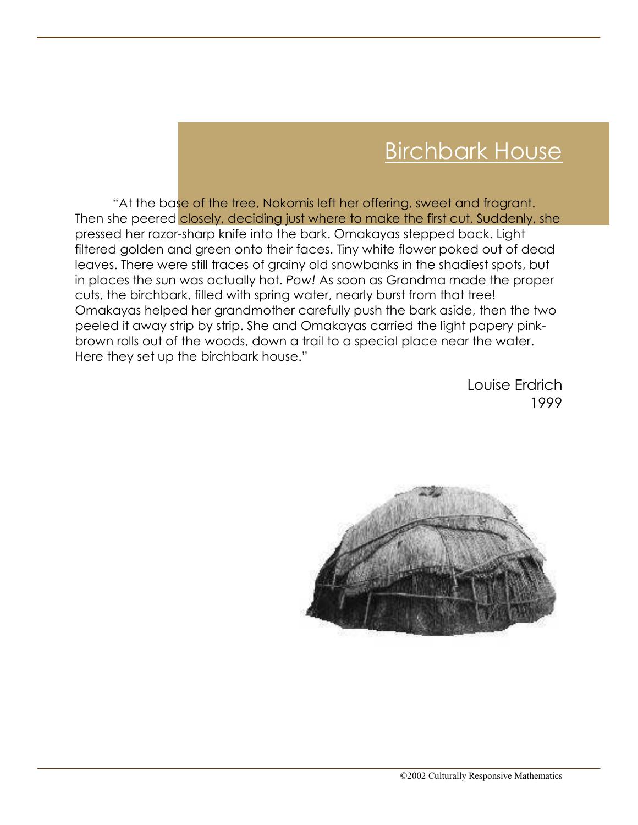# Birchbark House

"At the base of the tree, Nokomis left her offering, sweet and fragrant. Then she peered closely, deciding just where to make the first cut. Suddenly, she pressed her razor-sharp knife into the bark. Omakayas stepped back. Light filtered golden and green onto their faces. Tiny white flower poked out of dead leaves. There were still traces of grainy old snowbanks in the shadiest spots, but in places the sun was actually hot. Pow! As soon as Grandma made the proper cuts, the birchbark, filled with spring water, nearly burst from that tree! Omakayas helped her grandmother carefully push the bark aside, then the two peeled it away strip by strip. She and Omakayas carried the light papery pinkbrown rolls out of the woods, down a trail to a special place near the water. Here they set up the birchbark house."

> Louise Erdrich 1999

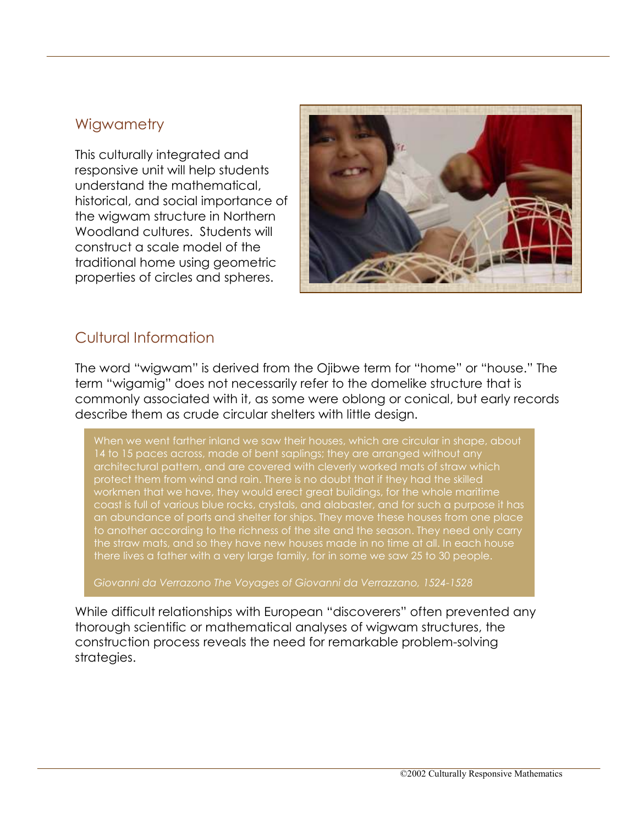#### **Wigwametry**

This culturally integrated and responsive unit will help students understand the mathematical, historical, and social importance of the wigwam structure in Northern Woodland cultures. Students will construct a scale model of the traditional home using geometric properties of circles and spheres.



## Cultural Information

The word "wigwam" is derived from the Ojibwe term for "home" or "house." The term "wigamig" does not necessarily refer to the domelike structure that is commonly associated with it, as some were oblong or conical, but early records describe them as crude circular shelters with little design.

When we went farther inland we saw their houses, which are circular in shape, about 14 to 15 paces across, made of bent saplings; they are arranged without any protect them from wind and rain. There is no doubt that if they had the skilled workmen that we have, they would erect great buildings, for the whole maritime coast is full of various blue rocks, crystals, and alabaster, and for such a purpose it has an abundance of ports and shelter for ships. They move these houses from one place to another according to the richness of the site and the season. They need only carry the straw mats, and so they have new houses made in no time at all. In each house there lives a father with a very large family, for in some we saw 25 to 30 people.

Giovanni da Verrazono The Voyages of Giovanni da Verrazzano, 1524-1528

While difficult relationships with European "discoverers" often prevented any thorough scientific or mathematical analyses of wigwam structures, the construction process reveals the need for remarkable problem-solving strategies.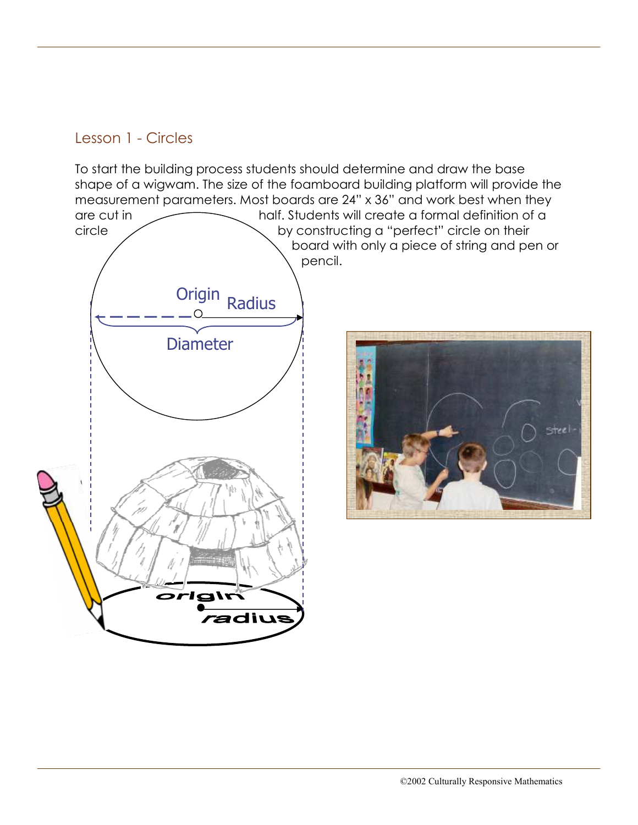# Lesson 1 - Circles

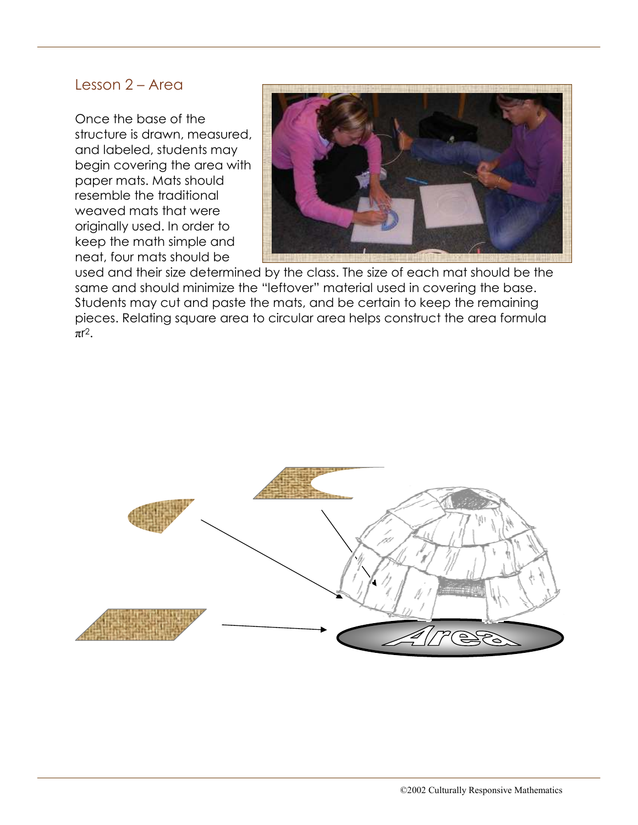#### Lesson 2 – Area

Once the base of the structure is drawn, measured, and labeled, students may begin covering the area with paper mats. Mats should resemble the traditional weaved mats that were originally used. In order to keep the math simple and neat, four mats should be



used and their size determined by the class. The size of each mat should be the same and should minimize the "leftover" material used in covering the base. Students may cut and paste the mats, and be certain to keep the remaining pieces. Relating square area to circular area helps construct the area formula πr 2.

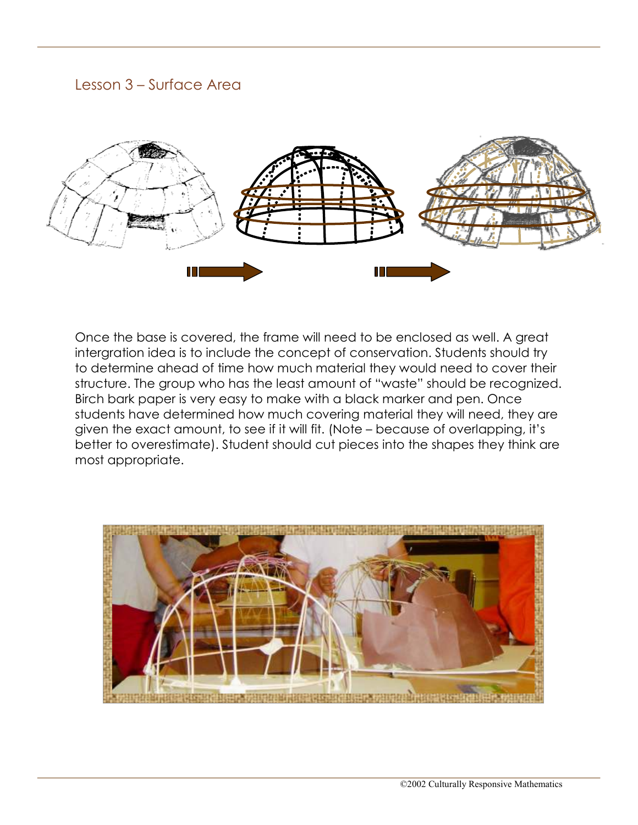### Lesson 3 – Surface Area



Once the base is covered, the frame will need to be enclosed as well. A great intergration idea is to include the concept of conservation. Students should try to determine ahead of time how much material they would need to cover their structure. The group who has the least amount of "waste" should be recognized. Birch bark paper is very easy to make with a black marker and pen. Once students have determined how much covering material they will need, they are given the exact amount, to see if it will fit. (Note – because of overlapping, it's better to overestimate). Student should cut pieces into the shapes they think are most appropriate.